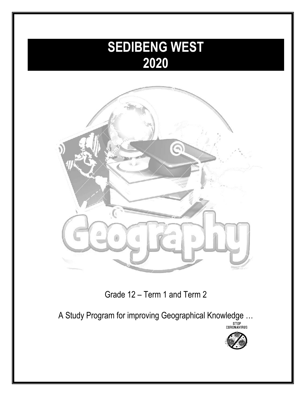# **SEDIBENG WEST 2020**



Grade 12 – Term 1 and Term 2

A Study Program for improving Geographical Knowledge ...<br>
<sub>cononavisus</sub>

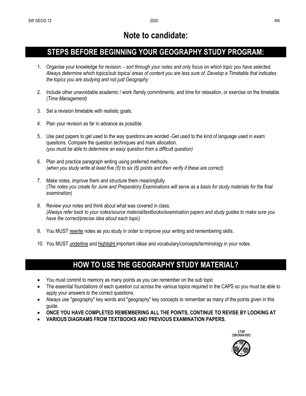# **Note to candidate:**

### **STEPS BEFORE BEGINNING YOUR GEOGRAPHY STUDY PROGRAM:**

- 1. Organise your knowledge for revision: *- sort through your notes and only focus on which topic you have selected. Always determine which topics/sub topics/ areas of content you are less sure of. Develop a Timetable that indicates the topics you are studying and not just Geography*
- 2. Include other unavoidable academic / work /family commitments, and time for relaxation, or exercise on the timetable*. (Time Management)*
- 3. Set a revision timetable with realistic goals.
- 4. Plan your revision as far in advance as possible.
- 5. Use past papers to get used to the way questions are worded -Get used to the kind of language used in exam questions. Compare the question techniques and mark allocation. *(you must be able to determine an easy question from a difficult question)*
- 6. Plan and practice paragraph writing using preferred methods. *(when you study write at least five (5) to six (6) points and then verify if these are correct)*
- 7. Make notes, improve them and structure them meaningfully *(The notes you create for June and Preparatory Examinations will serve as a basis for study materials for the final examination)*
- 8. Review your notes and think about what was covered in class. *(Always refer back to your notes/source material/textbooks/examination papers and study guides to make sure you have the correct/precise idea about each topic)*
- 9. You MUST rewrite notes as you study in order to improve your writing and remembering skills.
- 10. You MUST underline and highlight important ideas and vocabulary/concepts/terminology in your notes.

### **HOW TO USE THE GEOGRAPHY STUDY MATERIAL?**

- You must commit to memory as many points as you can remember on the sub topic
- The essential foundations of each question cut across the various topics required in the CAPS so you must be able to apply your answers to the correct questions.
- Always use "geography" key words and "geography" key concepts to remember as many of the points given in this guide.
- **ONCE YOU HAVE COMPLETED REMEMBERING ALL THE POINTS, CONTINUE TO REVISE BY LOOKING AT**
- **VARIOUS DIAGRAMS FROM TEXTBOOKS AND PREVIOUS EXAMINATION PAPERS.**



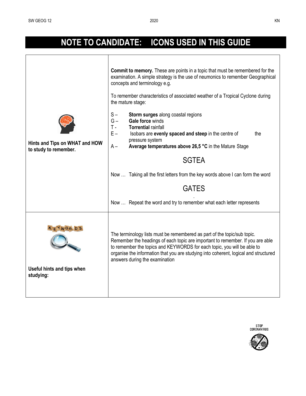# **NOTE TO CANDIDATE: ICONS USED IN THIS GUIDE**

| Hints and Tips on WHAT and HOW<br>to study to remember. | <b>Commit to memory.</b> These are points in a topic that must be remembered for the<br>examination. A simple strategy is the use of neumonics to remember Geographical<br>concepts and terminology e.g.<br>To remember characteristics of associated weather of a Tropical Cyclone during<br>the mature stage:<br>Storm surges along coastal regions<br>$S -$<br>Gale force winds<br>$G -$<br>$T -$<br><b>Torrential rainfall</b><br>$E -$<br>Isobars are evenly spaced and steep in the centre of<br>the<br>pressure system<br>Average temperatures above 26,5 °C in the Mature Stage<br>$A -$<br><b>SGTEA</b><br>Now  Taking all the first letters from the key words above I can form the word<br><b>GATES</b><br>Now  Repeat the word and try to remember what each letter represents |
|---------------------------------------------------------|--------------------------------------------------------------------------------------------------------------------------------------------------------------------------------------------------------------------------------------------------------------------------------------------------------------------------------------------------------------------------------------------------------------------------------------------------------------------------------------------------------------------------------------------------------------------------------------------------------------------------------------------------------------------------------------------------------------------------------------------------------------------------------------------|
| Useful hints and tips when<br>studying:                 | The terminology lists must be remembered as part of the topic/sub topic.<br>Remember the headings of each topic are important to remember. If you are able<br>to remember the topics and KEYWORDS for each topic, you will be able to<br>organise the information that you are studying into coherent, logical and structured<br>answers during the examination                                                                                                                                                                                                                                                                                                                                                                                                                            |

STOP<br>Coronavirus

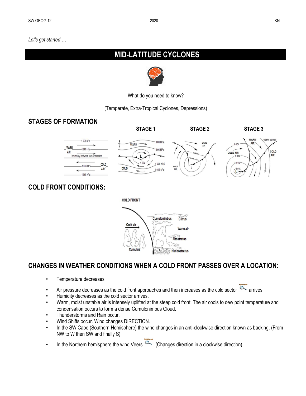*Let's get started …*

# **MID-LATITUDE CYCLONES**



What do you need to know?

(Temperate, Extra-Tropical Cyclones, Depressions)

### **STAGES OF FORMATION**



### **COLD FRONT CONDITIONS:**



### **CHANGES IN WEATHER CONDITIONS WHEN A COLD FRONT PASSES OVER A LOCATION:**

- Temperature decreases
- Air pressure decreases as the cold front approaches and then increases as the cold sector  $\overline{\bullet}$  arrives.
- Humidity decreases as the cold sector arrives.
- Warm, moist unstable air is intensely uplifted at the steep cold front. The air cools to dew point temperature and condensation occurs to form a dense Cumulonimbus Cloud.
- Thunderstorms and Rain occur.
- Wind Shifts occur. Wind changes DIRECTION.
- In the SW Cape (Southern Hemisphere) the wind changes in an anti-clockwise direction known as backing. (From NW to W then SW and finally S).
- In the Northern hemisphere the wind Veers  $\overline{C}$  (Changes direction in a clockwise direction).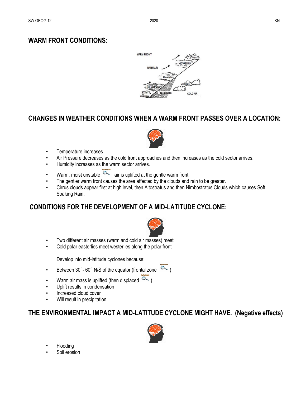### **WARM FRONT CONDITIONS:**



### **CHANGES IN WEATHER CONDITIONS WHEN A WARM FRONT PASSES OVER A LOCATION:**



- Temperature increases
- Air Pressure decreases as the cold front approaches and then increases as the cold sector arrives.
- Humidity increases as the warm sector arrives.
- Warm, moist unstable  $\sim$  air is uplifted at the gentle warm front.
- The gentler warm front causes the area affected by the clouds and rain to be greater.
- Cirrus clouds appear first at high level, then Altostratus and then Nimbostratus Clouds which causes Soft, Soaking Rain.

### **CONDITIONS FOR THE DEVELOPMENT OF A MID-LATITUDE CYCLONE:**



- Two different air masses (warm and cold air masses) meet
- Cold polar easterlies meet westerlies along the polar front

Develop into mid-latitude cyclones because:

- Between  $30^{\circ}$  60° N/S of the equator (frontal zone  $\overline{\sim}$  )
- Warm air mass is uplifted (then displaced  $\overline{O_{\sim}}$  )
- Uplift results in condensation
- Increased cloud cover
- Will result in precipitation

**THE ENVIRONMENTAL IMPACT A MID-LATITUDE CYCLONE MIGHT HAVE. (Negative effects)**



- **Flooding**
- Soil erosion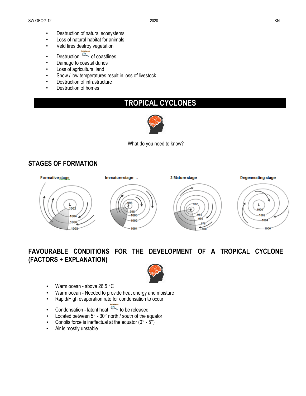- Destruction of natural ecosystems
- Loss of natural habitat for animals
- Veld fires destroy vegetation
- Destruction  $\overline{C}$  of coastlines
- Damage to coastal dunes
- Loss of agricultural land
- Snow / low temperatures result in loss of livestock
- Destruction of infrastructure
- Destruction of homes

### **TROPICAL CYCLONES**



What do you need to know?

### **STAGES OF FORMATION**



### **FAVOURABLE CONDITIONS FOR THE DEVELOPMENT OF A TROPICAL CYCLONE (FACTORS + EXPLANATION)**



- Warm ocean above 26.5 °C
- Warm ocean Needed to provide heat energy and moisture
- Rapid/High evaporation rate for condensation to occur
- Condensation latent heat  $\overline{C}$  to be released
- Located between 5° 30° north / south of the equator
- Coriolis force is ineffectual at the equator  $(0^\circ 5^\circ)$
- Air is mostly unstable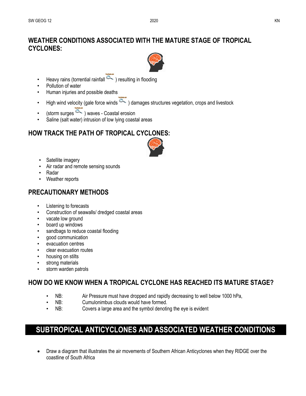

- Heavy rains (torrential rainfall  $\sim$  ) resulting in flooding
- Pollution of water
- Human injuries and possible deaths
- High wind velocity (gale force winds  $\sim$ ) damages structures vegetation, crops and livestock
- (storm surges  $\sim$  ) waves Coastal erosion
- Saline (salt water) intrusion of low lying coastal areas

### **HOW TRACK THE PATH OF TROPICAL CYCLONES:**



- Satellite imagery
- Air radar and remote sensing sounds
- Radar
- Weather reports

### **PRECAUTIONARY METHODS**

- Listening to forecasts
- Construction of seawalls/ dredged coastal areas
- vacate low ground
- board up windows
- sandbags to reduce coastal flooding
- good communication
- evacuation centres
- clear evacuation routes
- housing on stilts
- strong materials
- storm warden patrols

### **HOW DO WE KNOW WHEN A TROPICAL CYCLONE HAS REACHED ITS MATURE STAGE?**

- NB: Air Pressure must have dropped and rapidly decreasing to well below 1000 hPa,
- NB: Cumulonimbus clouds would have formed.
- NB: Covers a large area and the symbol denoting the eye is evident

# **SUBTROPICAL ANTICYCLONES AND ASSOCIATED WEATHER CONDITIONS**

 Draw a diagram that illustrates the air movements of Southern African Anticyclones when they RIDGE over the coastline of South Africa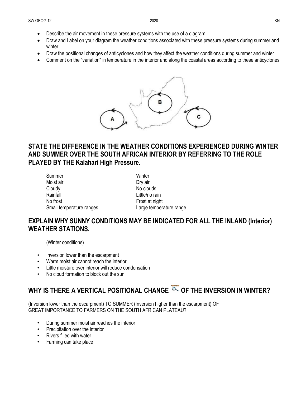- Describe the air movement in these pressure systems with the use of a diagram
- Draw and Label on your diagram the weather conditions associated with these pressure systems during summer and winter
- Draw the positional changes of anticyclones and how they affect the weather conditions during summer and winter
- Comment on the "variation" in temperature in the interior and along the coastal areas according to these anticyclones



#### **STATE THE DIFFERENCE IN THE WEATHER CONDITIONS EXPERIENCED DURING WINTER AND SUMMER OVER THE SOUTH AFRICAN INTERIOR BY REFERRING TO THE ROLE PLAYED BY THE Kalahari High Pressure.**

| Summer                   | Winter                  |
|--------------------------|-------------------------|
| Moist air                | Dry air                 |
| Cloudy                   | No clouds               |
| Rainfall                 | Little/no rain          |
| No frost                 | Frost at night          |
| Small temperature ranges | Large temperature range |

#### **EXPLAIN WHY SUNNY CONDITIONS MAY BE INDICATED FOR ALL THE INLAND (Interior) WEATHER STATIONS.**

(Winter conditions)

- Inversion lower than the escarpment
- Warm moist air cannot reach the interior
- Little moisture over interior will reduce condensation
- No cloud formation to block out the sun

# WHY IS THERE A VERTICAL POSITIONAL CHANGE  $\overline{\text{ex}}$  of the inversion in winter?

(Inversion lower than the escarpment) TO SUMMER (Inversion higher than the escarpment) OF GREAT IMPORTANCE TO FARMERS ON THE SOUTH AFRICAN PLATEAU?

- During summer moist air reaches the interior
- Precipitation over the interior
- Rivers filled with water
- Farming can take place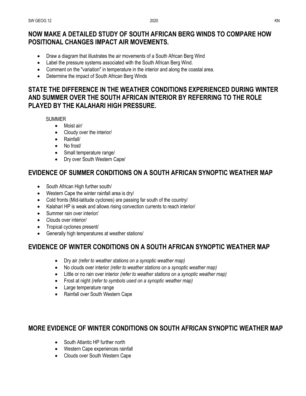### **NOW MAKE A DETAILED STUDY OF SOUTH AFRICAN BERG WINDS TO COMPARE HOW POSITIONAL CHANGES IMPACT AIR MOVEMENTS.**

- Draw a diagram that illustrates the air movements of a South African Berg Wind
- Label the pressure systems associated with the South African Berg Wind.
- Comment on the "variation" in temperature in the interior and along the coastal area.
- Determine the impact of South African Berg Winds

### **STATE THE DIFFERENCE IN THE WEATHER CONDITIONS EXPERIENCED DURING WINTER AND SUMMER OVER THE SOUTH AFRICAN INTERIOR BY REFERRING TO THE ROLE PLAYED BY THE KALAHARI HIGH PRESSURE.**

SUMMER

- Moist air/
- Cloudy over the interior/
- Rainfall/
- No frost/
- Small temperature range/
- Dry over South Western Cape/

### **EVIDENCE OF SUMMER CONDITIONS ON A SOUTH AFRICAN SYNOPTIC WEATHER MAP**

- South African High further south/
- Western Cape the winter rainfall area is dry/
- Cold fronts (Mid-latitude cyclones) are passing far south of the country/
- Kalahari HP is weak and allows rising convection currents to reach interior/
- Summer rain over interior/
- Clouds over interior/
- Tropical cyclones present/
- Generally high temperatures at weather stations/

### **EVIDENCE OF WINTER CONDITIONS ON A SOUTH AFRICAN SYNOPTIC WEATHER MAP**

- Dry air *(refer to weather stations on a synoptic weather map)*
- No clouds over interior *(refer to weather stations on a synoptic weather map)*
- Little or no rain over interior *(refer to weather stations on a synoptic weather map)*
- Frost at night *(refer to symbols used on a synoptic weather map)*
- Large temperature range
- Rainfall over South Western Cape

### **MORE EVIDENCE OF WINTER CONDITIONS ON SOUTH AFRICAN SYNOPTIC WEATHER MAP**

- South Atlantic HP further north
- Western Cape experiences rainfall
- Clouds over South Western Cape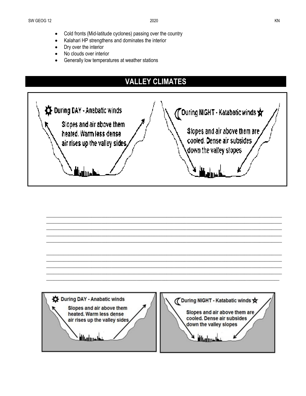- Cold fronts (Mid-latitude cyclones) passing over the country  $\bullet$
- Kalahari HP strengthens and dominates the interior  $\bullet$
- Dry over the interior  $\bullet$
- No clouds over interior  $\bullet$
- Generally low temperatures at weather stations



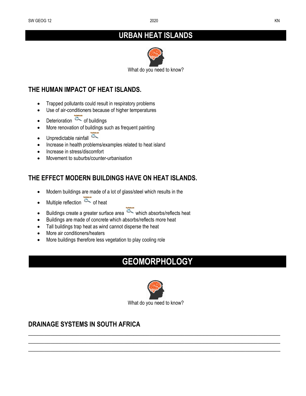# **URBAN HEAT ISLANDS**



What do you need to know?

### **THE HUMAN IMPACT OF HEAT ISLANDS.**

- Trapped pollutants could result in respiratory problems
- Use of air-conditioners because of higher temperatures
- $\bullet$  Deterioration  $\overline{\bullet}$  of buildings
- More renovation of buildings such as frequent painting
- Unpredictable rainfall
- Increase in health problems/examples related to heat island
- Increase in stress/discomfort
- Movement to suburbs/counter-urbanisation

### **THE EFFECT MODERN BUILDINGS HAVE ON HEAT ISLANDS.**

- Modern buildings are made of a lot of glass/steel which results in the
- $\bullet$  Multiple reflection  $\overline{\bullet}$  of heat
- Buildings create a greater surface area which absorbs/reflects heat
- Buildings are made of concrete which absorbs/reflects more heat
- Tall buildings trap heat as wind cannot disperse the heat
- More air conditioners/heaters
- More buildings therefore less vegetation to play cooling role

# **GEOMORPHOLOGY**



**\_\_\_\_\_\_\_\_\_\_\_\_\_\_\_\_\_\_\_\_\_\_\_\_\_\_\_\_\_\_\_\_\_\_\_\_\_\_\_\_\_\_\_\_\_\_\_\_\_\_\_\_\_\_\_\_\_\_\_\_\_\_\_\_\_\_\_\_\_\_\_\_\_\_\_\_\_\_\_ \_\_\_\_\_\_\_\_\_\_\_\_\_\_\_\_\_\_\_\_\_\_\_\_\_\_\_\_\_\_\_\_\_\_\_\_\_\_\_\_\_\_\_\_\_\_\_\_\_\_\_\_\_\_\_\_\_\_\_\_\_\_\_\_\_\_\_\_\_\_\_\_\_\_\_\_\_\_\_ \_\_\_\_\_\_\_\_\_\_\_\_\_\_\_\_\_\_\_\_\_\_\_\_\_\_\_\_\_\_\_\_\_\_\_\_\_\_\_\_\_\_\_\_\_\_\_\_\_\_\_\_\_\_\_\_\_\_\_\_\_\_\_\_\_\_\_\_\_\_\_\_\_\_\_\_\_\_\_**

### **DRAINAGE SYSTEMS IN SOUTH AFRICA**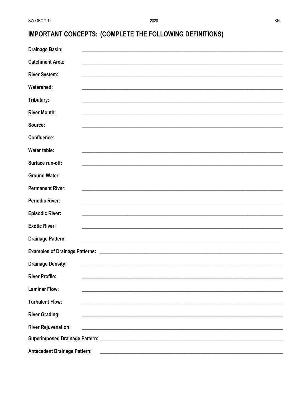# IMPORTANT CONCEPTS: (COMPLETE THE FOLLOWING DEFINITIONS)

| <b>Drainage Basin:</b>              |
|-------------------------------------|
| <b>Catchment Area:</b>              |
| <b>River System:</b>                |
| <b>Watershed:</b>                   |
| Tributary:                          |
| <b>River Mouth:</b>                 |
| Source:                             |
| Confluence:                         |
| <b>Water table:</b>                 |
| Surface run-off:                    |
| <b>Ground Water:</b>                |
| <b>Permanent River:</b>             |
| <b>Periodic River:</b>              |
| <b>Episodic River:</b>              |
| <b>Exotic River:</b>                |
| <b>Drainage Pattern:</b>            |
|                                     |
| <b>Drainage Density:</b>            |
| <b>River Profile:</b>               |
| <b>Laminar Flow:</b>                |
| <b>Turbulent Flow:</b>              |
| <b>River Grading:</b>               |
| <b>River Rejuvenation:</b>          |
|                                     |
| <b>Antecedent Drainage Pattern:</b> |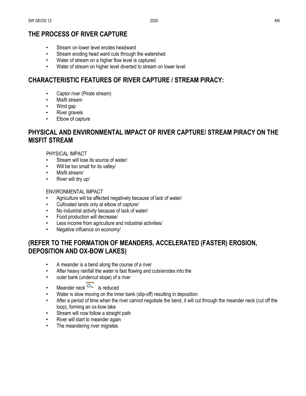#### **THE PROCESS OF RIVER CAPTURE**

- Stream on lower level erodes headward
- Stream eroding head ward cuts through the watershed
- Water of stream on a higher flow level is captured
- Water of stream on higher level diverted to stream on lower level

#### **CHARACTERISTIC FEATURES OF RIVER CAPTURE / STREAM PIRACY:**

- Captor river (Pirate stream)
- Misfit stream
- Wind gap
- River gravels
- Elbow of capture

#### **PHYSICAL AND ENVIRONMENTAL IMPACT OF RIVER CAPTURE/ STREAM PIRACY ON THE MISFIT STREAM**

#### PHYSICAL IMPACT

- Stream will lose its source of water/
- Will be too small for its valley/
- Misfit stream/
- River will dry up/

#### ENVIRONMENTAL IMPACT

- Agriculture will be affected negatively because of lack of water/
- Cultivated lands only at elbow of capture/
- No industrial activity because of lack of water/
- Food production will decrease/
- Less income from agriculture and industrial activities/
- Negative influence on economy/

### **(REFER TO THE FORMATION OF MEANDERS, ACCELERATED (FASTER) EROSION, DEPOSITION AND OX-BOW LAKES)**

- A meander is a bend along the course of a river
- After heavy rainfall the water is fast flowing and cuts/erodes into the
- outer bank (undercut slope) of a river
- Meander neck  $\overline{\mathcal{O}}$  is reduced
- Water is slow moving on the inner bank (slip-off) resulting in deposition
- After a period of time when the river cannot negotiate the bend, it will cut through the meander neck (cut off the loop), forming an ox-bow lake
- Stream will now follow a straight path
- River will start to meander again
- The meandering river migrates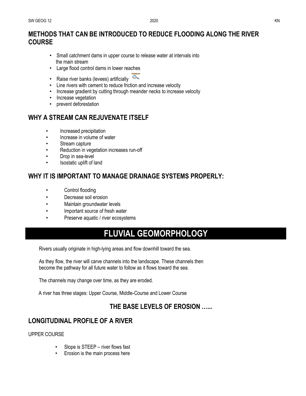#### **METHODS THAT CAN BE INTRODUCED TO REDUCE FLOODING ALONG THE RIVER COURSE**

- Small catchment dams in upper course to release water at intervals into the main stream
- Large flood control dams in lower reaches
- Raise river banks (levees) artificially
- Line rivers with cement to reduce friction and increase velocity
- Increase gradient by cutting through meander necks to increase velocity
- Increase vegetation
- prevent deforestation

#### **WHY A STREAM CAN REJUVENATE ITSELF**

- Increased precipitation
- Increase in volume of water
- Stream capture
- Reduction in vegetation increases run-off
- Drop in sea-level
- Isostatic uplift of land

#### **WHY IT IS IMPORTANT TO MANAGE DRAINAGE SYSTEMS PROPERLY:**

- Control flooding
- Decrease soil erosion
- Maintain groundwater levels
- Important source of fresh water
- Preserve aquatic / river ecosystems

# **FLUVIAL GEOMORPHOLOGY**

Rivers usually originate in high-lying areas and flow downhill toward the sea.

As they flow, the river will carve channels into the landscape. These channels then become the pathway for all future water to follow as it flows toward the sea.

The channels may change over time, as they are eroded.

A river has three stages: Upper Course, Middle-Course and Lower Course

#### **THE BASE LEVELS OF EROSION …...**

#### **LONGITUDINAL PROFILE OF A RIVER**

UPPER COURSE

- Slope is STEEP river flows fast
- Erosion is the main process here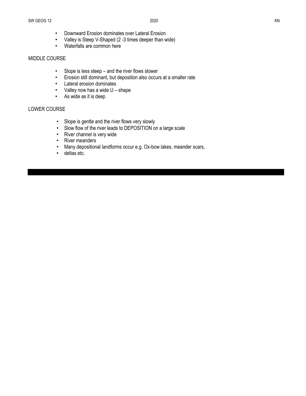- Downward Erosion dominates over Lateral Erosion
- Valley is Steep V-Shaped (2 -3 times deeper than wide)
- Waterfalls are common here

#### MIDDLE COURSE

- Slope is less steep and the river flows slower
- Erosion still dominant, but deposition also occurs at a smaller rate
- Lateral erosion dominates
- Valley now has a wide U shape
- As wide as it is deep

#### LOWER COURSE

- Slope is gentle and the river flows very slowly
- Slow flow of the river leads to DEPOSITION on a large scale
- River channel is very wide
- River meanders
- Many depositional landforms occur e.g. Ox-bow lakes, meander scars,
- deltas etc.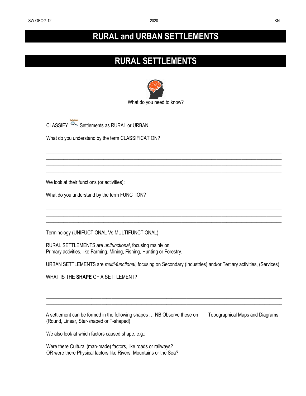# **RURAL and URBAN SETTLEMENTS**

# **RURAL SETTLEMENTS**



\_\_\_\_\_\_\_\_\_\_\_\_\_\_\_\_\_\_\_\_\_\_\_\_\_\_\_\_\_\_\_\_\_\_\_\_\_\_\_\_\_\_\_\_\_\_\_\_\_\_\_\_\_\_\_\_\_\_\_\_\_\_\_\_\_\_\_\_\_\_\_\_\_\_\_\_\_\_\_\_\_\_\_\_\_\_\_\_\_\_\_\_\_\_ \_\_\_\_\_\_\_\_\_\_\_\_\_\_\_\_\_\_\_\_\_\_\_\_\_\_\_\_\_\_\_\_\_\_\_\_\_\_\_\_\_\_\_\_\_\_\_\_\_\_\_\_\_\_\_\_\_\_\_\_\_\_\_\_\_\_\_\_\_\_\_\_\_\_\_\_\_\_\_\_\_\_\_\_\_\_\_\_\_\_\_\_\_\_ \_\_\_\_\_\_\_\_\_\_\_\_\_\_\_\_\_\_\_\_\_\_\_\_\_\_\_\_\_\_\_\_\_\_\_\_\_\_\_\_\_\_\_\_\_\_\_\_\_\_\_\_\_\_\_\_\_\_\_\_\_\_\_\_\_\_\_\_\_\_\_\_\_\_\_\_\_\_\_\_\_\_\_\_\_\_\_\_\_\_\_\_\_\_ \_\_\_\_\_\_\_\_\_\_\_\_\_\_\_\_\_\_\_\_\_\_\_\_\_\_\_\_\_\_\_\_\_\_\_\_\_\_\_\_\_\_\_\_\_\_\_\_\_\_\_\_\_\_\_\_\_\_\_\_\_\_\_\_\_\_\_\_\_\_\_\_\_\_\_\_\_\_\_\_\_\_\_\_\_\_\_\_\_\_\_\_\_\_

\_\_\_\_\_\_\_\_\_\_\_\_\_\_\_\_\_\_\_\_\_\_\_\_\_\_\_\_\_\_\_\_\_\_\_\_\_\_\_\_\_\_\_\_\_\_\_\_\_\_\_\_\_\_\_\_\_\_\_\_\_\_\_\_\_\_\_\_\_\_\_\_\_\_\_\_\_\_\_\_\_\_\_\_\_\_\_\_\_\_\_\_\_\_ \_\_\_\_\_\_\_\_\_\_\_\_\_\_\_\_\_\_\_\_\_\_\_\_\_\_\_\_\_\_\_\_\_\_\_\_\_\_\_\_\_\_\_\_\_\_\_\_\_\_\_\_\_\_\_\_\_\_\_\_\_\_\_\_\_\_\_\_\_\_\_\_\_\_\_\_\_\_\_\_\_\_\_\_\_\_\_\_\_\_\_\_\_\_ \_\_\_\_\_\_\_\_\_\_\_\_\_\_\_\_\_\_\_\_\_\_\_\_\_\_\_\_\_\_\_\_\_\_\_\_\_\_\_\_\_\_\_\_\_\_\_\_\_\_\_\_\_\_\_\_\_\_\_\_\_\_\_\_\_\_\_\_\_\_\_\_\_\_\_\_\_\_\_\_\_\_\_\_\_\_\_\_\_\_\_\_\_\_

CLASSIFY **Settlements as RURAL or URBAN.** 

What do you understand by the term CLASSIFICATION?

We look at their functions (or activities):

What do you understand by the term FUNCTION?

Terminology (UNIFUCTIONAL Vs MULTIFUNCTIONAL)

RURAL SETTLEMENTS are *unifunctional*, focusing mainly on Primary activities, like Farming, Mining, Fishing, Hunting or Forestry.

URBAN SETTLEMENTS are *multi-functional*, focusing on Secondary (Industries) and/or Tertiary activities, (Services)

\_\_\_\_\_\_\_\_\_\_\_\_\_\_\_\_\_\_\_\_\_\_\_\_\_\_\_\_\_\_\_\_\_\_\_\_\_\_\_\_\_\_\_\_\_\_\_\_\_\_\_\_\_\_\_\_\_\_\_\_\_\_\_\_\_\_\_\_\_\_\_\_\_\_\_\_\_\_\_\_\_\_\_\_\_\_\_\_\_\_\_\_\_\_ \_\_\_\_\_\_\_\_\_\_\_\_\_\_\_\_\_\_\_\_\_\_\_\_\_\_\_\_\_\_\_\_\_\_\_\_\_\_\_\_\_\_\_\_\_\_\_\_\_\_\_\_\_\_\_\_\_\_\_\_\_\_\_\_\_\_\_\_\_\_\_\_\_\_\_\_\_\_\_\_\_\_\_\_\_\_\_\_\_\_\_\_\_\_  $\_$  ,  $\_$  ,  $\_$  ,  $\_$  ,  $\_$  ,  $\_$  ,  $\_$  ,  $\_$  ,  $\_$  ,  $\_$  ,  $\_$  ,  $\_$  ,  $\_$  ,  $\_$  ,  $\_$  ,  $\_$  ,  $\_$  ,  $\_$  ,  $\_$  ,  $\_$  ,  $\_$  ,  $\_$  ,  $\_$  ,  $\_$  ,  $\_$  ,  $\_$  ,  $\_$  ,  $\_$  ,  $\_$  ,  $\_$  ,  $\_$  ,  $\_$  ,  $\_$  ,  $\_$  ,  $\_$  ,  $\_$  ,  $\_$  ,

WHAT IS THE **SHAPE** OF A SETTLEMENT?

A settlement can be formed in the following shapes … NB Observe these on Topographical Maps and Diagrams (Round, Linear, Star-shaped or T-shaped)

We also look at which factors caused shape, e.g.:

Were there Cultural (man-made) factors, like roads or railways? OR were there Physical factors like Rivers, Mountains or the Sea?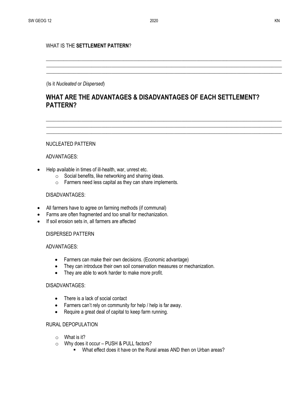\_\_\_\_\_\_\_\_\_\_\_\_\_\_\_\_\_\_\_\_\_\_\_\_\_\_\_\_\_\_\_\_\_\_\_\_\_\_\_\_\_\_\_\_\_\_\_\_\_\_\_\_\_\_\_\_\_\_\_\_\_\_\_\_\_\_\_\_\_\_\_\_\_\_\_\_\_\_\_\_\_\_\_\_\_\_\_\_\_\_\_\_\_\_  $\_$  ,  $\_$  ,  $\_$  ,  $\_$  ,  $\_$  ,  $\_$  ,  $\_$  ,  $\_$  ,  $\_$  ,  $\_$  ,  $\_$  ,  $\_$  ,  $\_$  ,  $\_$  ,  $\_$  ,  $\_$  ,  $\_$  ,  $\_$  ,  $\_$  ,  $\_$  ,  $\_$  ,  $\_$  ,  $\_$  ,  $\_$  ,  $\_$  ,  $\_$  ,  $\_$  ,  $\_$  ,  $\_$  ,  $\_$  ,  $\_$  ,  $\_$  ,  $\_$  ,  $\_$  ,  $\_$  ,  $\_$  ,  $\_$  , \_\_\_\_\_\_\_\_\_\_\_\_\_\_\_\_\_\_\_\_\_\_\_\_\_\_\_\_\_\_\_\_\_\_\_\_\_\_\_\_\_\_\_\_\_\_\_\_\_\_\_\_\_\_\_\_\_\_\_\_\_\_\_\_\_\_\_\_\_\_\_\_\_\_\_\_\_\_\_\_\_\_\_\_\_\_\_\_\_\_\_\_\_\_

\_\_\_\_\_\_\_\_\_\_\_\_\_\_\_\_\_\_\_\_\_\_\_\_\_\_\_\_\_\_\_\_\_\_\_\_\_\_\_\_\_\_\_\_\_\_\_\_\_\_\_\_\_\_\_\_\_\_\_\_\_\_\_\_\_\_\_\_\_\_\_\_\_\_\_\_\_\_\_\_\_\_\_\_\_\_\_\_\_\_\_\_\_\_ \_\_\_\_\_\_\_\_\_\_\_\_\_\_\_\_\_\_\_\_\_\_\_\_\_\_\_\_\_\_\_\_\_\_\_\_\_\_\_\_\_\_\_\_\_\_\_\_\_\_\_\_\_\_\_\_\_\_\_\_\_\_\_\_\_\_\_\_\_\_\_\_\_\_\_\_\_\_\_\_\_\_\_\_\_\_\_\_\_\_\_\_\_\_  $\_$  ,  $\_$  ,  $\_$  ,  $\_$  ,  $\_$  ,  $\_$  ,  $\_$  ,  $\_$  ,  $\_$  ,  $\_$  ,  $\_$  ,  $\_$  ,  $\_$  ,  $\_$  ,  $\_$  ,  $\_$  ,  $\_$  ,  $\_$  ,  $\_$  ,  $\_$  ,  $\_$  ,  $\_$  ,  $\_$  ,  $\_$  ,  $\_$  ,  $\_$  ,  $\_$  ,  $\_$  ,  $\_$  ,  $\_$  ,  $\_$  ,  $\_$  ,  $\_$  ,  $\_$  ,  $\_$  ,  $\_$  ,  $\_$  ,

#### WHAT IS THE **SETTLEMENT PATTERN**?

(Is it *Nucleated* or *Dispersed*)

#### **WHAT ARE THE ADVANTAGES & DISADVANTAGES OF EACH SETTLEMENT? PATTERN?**

#### NUCLEATED PATTERN

#### ADVANTAGES:

- Help available in times of ill-health, war, unrest etc.
	- o Social benefits, like networking and sharing ideas.
	- o Farmers need less capital as they can share implements.

#### DISADVANTAGES:

- All farmers have to agree on farming methods (if communal)
- Farms are often fragmented and too small for mechanization.
- If soil erosion sets in, all farmers are affected

#### DISPERSED PATTERN

#### ADVANTAGES:

- Farmers can make their own decisions. (Economic advantage)
- They can introduce their own soil conservation measures or mechanization.
- They are able to work harder to make more profit.

#### DISADVANTAGES:

- There is a lack of social contact
- Farmers can't rely on community for help / help is far away.
- Require a great deal of capital to keep farm running.

#### RURAL DEPOPULATION

- $\circ$  What is it?
- o Why does it occur PUSH & PULL factors?
	- What effect does it have on the Rural areas AND then on Urban areas?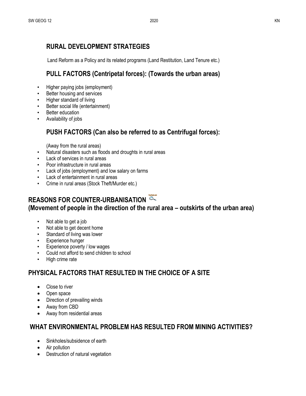### **RURAL DEVELOPMENT STRATEGIES**

Land Reform as a Policy and its related programs (Land Restitution, Land Tenure etc.)

### **PULL FACTORS (Centripetal forces): (Towards the urban areas)**

- Higher paying jobs (employment)
- Better housing and services
- Higher standard of living
- Better social life (entertainment)
- Better education
- Availability of jobs

#### **PUSH FACTORS (Can also be referred to as Centrifugal forces):**

(Away from the rural areas)

- Natural disasters such as floods and droughts in rural areas
- Lack of services in rural areas
- Poor infrastructure in rural areas
- Lack of jobs (employment) and low salary on farms
- Lack of entertainment in rural areas
- Crime in rural areas (Stock Theft/Murder etc.)

# **REASONS FOR COUNTER-URBANISATION (Movement of people in the direction of the rural area – outskirts of the urban area)**

- Not able to get a job
- Not able to get decent home
- Standard of living was lower
- Experience hunger
- Experience poverty / low wages
- Could not afford to send children to school
- High crime rate

### **PHYSICAL FACTORS THAT RESULTED IN THE CHOICE OF A SITE**

- Close to river
- Open space
- Direction of prevailing winds
- Away from CBD
- Away from residential areas

#### **WHAT ENVIRONMENTAL PROBLEM HAS RESULTED FROM MINING ACTIVITIES?**

- Sinkholes/subsidence of earth
- Air pollution
- Destruction of natural vegetation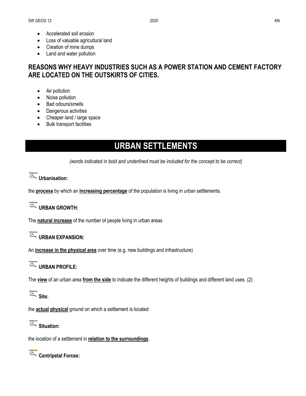- Accelerated soil erosion
- Loss of valuable agricultural land
- Creation of mine dumps
- Land and water pollution

### **REASONS WHY HEAVY INDUSTRIES SUCH AS A POWER STATION AND CEMENT FACTORY ARE LOCATED ON THE OUTSKIRTS OF CITIES.**

- Air pollution
- Noise pollution
- Bad odours/smells
- Dangerous activities
- Cheaper land / large space
- Bulk transport facilities

# **URBAN SETTLEMENTS**

*(words indicated in bold and underlined must be included for the concept to be correct)*

# **Urbanisation:**

the **process** by which an **increasing percentage** of the population is living in *urban* settlements.

# URBAN GROWTH:

The **natural increase** of the number of people living in urban areas

# URBAN EXPANSION:

An **increase in the physical area** over time (e.g. new buildings and infrastructure)

# URBAN PROFILE:

The **view** of an urban area **from the side** to indicate the different heights of buildings and different land uses. (2)

**Site:** 

the **actual physical** ground on which a settlement is located



the location of a settlement in **relation to the surroundings**.

**Centripetal Forces:**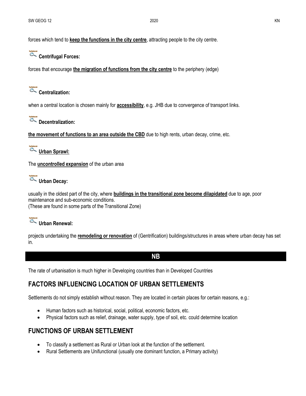forces which tend to **keep the functions in the city centre**, attracting people to the city centre.

# **Centrifugal Forces:**

forces that encourage **the migration of functions from the city centre** to the periphery (edge)



when a central location is chosen mainly for **accessibility**, e.g. JHB due to convergence of transport links.

**Decentralization:**

**the movement of functions to an area outside the CBD** due to high rents, urban decay, crime, etc.

**Urban Sprawl:**

The **uncontrolled expansion** of the urban area

**Urban Decay:**

usually in the oldest part of the city, where **buildings in the transitional zone become dilapidated** due to age, poor maintenance and sub-economic conditions. (These are found in some parts of the Transitional Zone)

**Urban Renewal:**

projects undertaking the **remodeling or renovation** of (Gentrification) buildings/structures in areas where urban decay has set in.

**NB**

The rate of urbanisation is much higher in Developing countries than in Developed Countries

### **FACTORS INFLUENCING LOCATION OF URBAN SETTLEMENTS**

Settlements do not simply establish without reason. They are located in certain places for certain reasons, e.g.:

- Human factors such as historical, social, political, economic factors, etc.
- Physical factors such as relief, drainage, water supply, type of soil, etc. could determine location

### **FUNCTIONS OF URBAN SETTLEMENT**

- To classify a settlement as Rural or Urban look at the function of the settlement.
- Rural Settlements are Unifunctional (usually one dominant function, a Primary activity)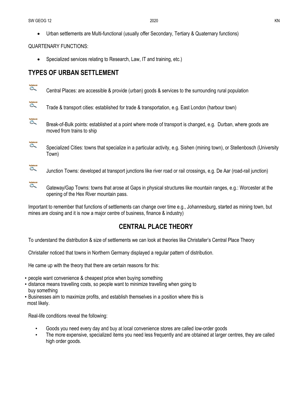Urban settlements are Multi-functional (usually offer Secondary, Tertiary & Quaternary functions)

#### QUARTENARY FUNCTIONS:

• Specialized services relating to Research, Law, IT and training, etc.)

#### **TYPES OF URBAN SETTLEMENT**

- $\alpha$ Central Places: are accessible & provide (urban) goods & services to the surrounding rural population
- C Trade & transport cities: established for trade & transportation, e.g. East London (harbour town)
- $O<sub>2</sub>$ Break-of-Bulk points: established at a point where mode of transport is changed, e.g. Durban, where goods are moved from trains to ship
- **CONER** Specialized Cities: towns that specialize in a particular activity, e.g. Sishen (mining town), or Stellenbosch (University Town)
- Q Junction Towns: developed at transport junctions like river road or rail crossings, e.g. De Aar (road-rail junction)
- Q Gateway/Gap Towns: towns that arose at Gaps in physical structures like mountain ranges, e.g.: Worcester at the opening of the Hex River mountain pass.

Important to remember that functions of settlements can change over time e.g., Johannesburg, started as mining town, but mines are closing and it is now a major centre of business, finance & industry)

#### **CENTRAL PLACE THEORY**

To understand the distribution & size of settlements we can look at theories like Christaller's Central Place Theory

Christaller noticed that towns in Northern Germany displayed a regular pattern of distribution.

He came up with the theory that there are certain reasons for this:

- people want convenience & cheapest price when buying something
- distance means travelling costs, so people want to minimize travelling when going to buy something
- Businesses aim to maximize profits, and establish themselves in a position where this is most likely.

Real-life conditions reveal the following:

- Goods you need every day and buy at local convenience stores are called low-order goods
- The more expensive, specialized items you need less frequently and are obtained at larger centres, they are called high order goods.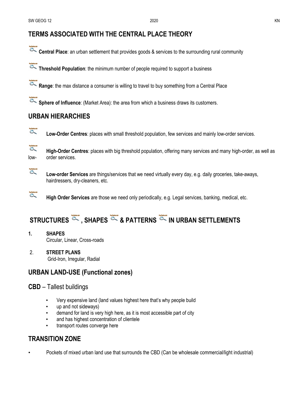#### **TERMS ASSOCIATED WITH THE CENTRAL PLACE THEORY**

**Central Place**: an urban settlement that provides goods & services to the surrounding rural community

- **Threshold Population**: the minimum number of people required to support a business
- **Range**: the max distance a consumer is willing to travel to buy something from a Central Place
- **Sphere of Influence**: (Market Area): the area from which a business draws its customers.

#### **URBAN HIERARCHIES**

- $\alpha$ **Low-Order Centres**: places with small threshold population, few services and mainly low-order services.
- C **High-Order Centres**: places with big threshold population, offering many services and many high-order, as well as low- order services.
- C

**CONDA** 

**Low-order Services** are things/services that we need virtually every day, e.g. daily groceries, take-aways, hairdressers, dry-cleaners, etc.

**High Order Services** are those we need only periodically, e.g. Legal services, banking, medical, etc.

# **STRUCTURES**  $\overline{a}$ , SHAPES  $\overline{a}$  & PATTERNS  $\overline{a}$  IN URBAN SETTLEMENTS

- **1. SHAPES**  Circular, Linear, Cross-roads
- 2. **STREET PLANS** Grid-Iron, Irregular, Radial

#### **URBAN LAND-USE (Functional zones)**

#### **CBD** – Tallest buildings

- Very expensive land (land values highest here that's why people build
- up and not sideways)
- demand for land is very high here, as it is most accessible part of city
- and has highest concentration of clientele
- transport routes converge here

#### **TRANSITION ZONE**

• Pockets of mixed urban land use that surrounds the CBD (Can be wholesale commercial/light industrial)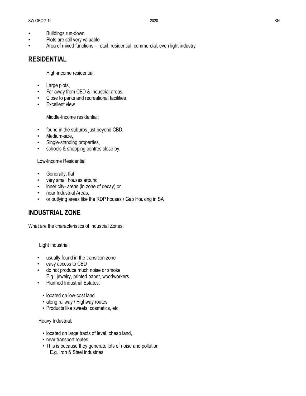- Buildings run-down
- Plots are still very valuable
- Area of mixed functions retail, residential, commercial, even light industry

#### **RESIDENTIAL**

High-income residential:

- Large plots,
- Far away from CBD & Industrial areas,
- Close to parks and recreational facilities
- Excellent view

Middle-Income residential:

- found in the suburbs just beyond CBD.
- Medium-size,
- Single-standing properties,
- schools & shopping centres close by.

Low-Income Residential:

- Generally, flat
- very small houses around
- inner city- areas (in zone of decay) or
- near Industrial Areas,
- or outlying areas like the RDP houses / Gap Housing in SA

### **INDUSTRIAL ZONE**

What are the characteristics of Industrial Zones:

Light Industrial:

- usually found in the transition zone
- easy access to CBD
- do not produce much noise or smoke E.g.: jewelry, printed paper, woodworkers
- Planned Industrial Estates:
	- located on low-cost land
	- along railway / Highway routes
	- Products like sweets, cosmetics, etc.

Heavy Industrial:

- located on large tracts of level, cheap land,
- near transport routes
- This is because they generate lots of noise and pollution. E.g. Iron & Steel industries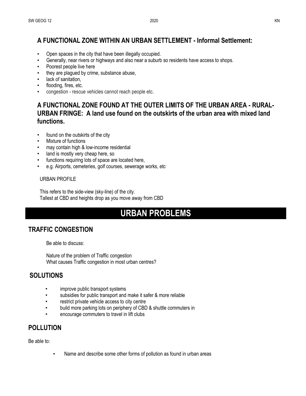- Open spaces in the city that have been illegally occupied.
- Generally, near rivers or highways and also near a suburb so residents have access to shops.
- Poorest people live here
- they are plagued by crime, substance abuse,
- lack of sanitation,
- flooding, fires, etc.
- congestion rescue vehicles cannot reach people etc.

### **A FUNCTIONAL ZONE FOUND AT THE OUTER LIMITS OF THE URBAN AREA - RURAL-URBAN FRINGE: A land use found on the outskirts of the urban area with mixed land functions.**

- found on the outskirts of the city
- Mixture of functions
- may contain high & low-income residential
- land is mostly very cheap here, so
- functions requiring lots of space are located here,
- e.g. Airports, cemeteries, golf courses, sewerage works, etc

#### URBAN PROFILE

 This refers to the side-view (sky-line) of the city. Tallest at CBD and heights drop as you move away from CBD

# **URBAN PROBLEMS**

### **TRAFFIC CONGESTION**

Be able to discuss:

Nature of the problem of Traffic congestion What causes Traffic congestion in most urban centres?

### **SOLUTIONS**

- improve public transport systems
- subsidies for public transport and make it safer & more reliable
- restrict private vehicle access to city centre
- build more parking lots on periphery of CBD & shuttle commuters in
- encourage commuters to travel in lift clubs

### **POLLUTION**

Be able to:

• Name and describe some other forms of pollution as found in urban areas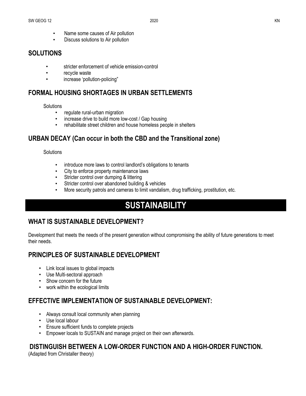- Name some causes of Air pollution
- Discuss solutions to Air pollution

#### **SOLUTIONS**

- stricter enforcement of vehicle emission-control
- recycle waste
- increase 'pollution-policing"

#### **FORMAL HOUSING SHORTAGES IN URBAN SETTLEMENTS**

#### **Solutions**

- regulate rural-urban migration
- increase drive to build more low-cost / Gap housing
- rehabilitate street children and house homeless people in shelters

#### **URBAN DECAY (Can occur in both the CBD and the Transitional zone)**

**Solutions** 

- introduce more laws to control landlord's obligations to tenants
- City to enforce property maintenance laws
- Stricter control over dumping & littering
- Stricter control over abandoned building & vehicles
- More security patrols and cameras to limit vandalism, drug trafficking, prostitution, etc.

# **SUSTAINABILITY**

#### **WHAT IS SUSTAINABLE DEVELOPMENT?**

Development that meets the needs of the present generation without compromising the ability of future generations to meet their needs.

#### **PRINCIPLES OF SUSTAINABLE DEVELOPMENT**

- Link local issues to global impacts
- Use Multi-sectoral approach
- Show concern for the future
- work within the ecological limits

#### **EFFECTIVE IMPLEMENTATION OF SUSTAINABLE DEVELOPMENT:**

- Always consult local community when planning
- Use local labour
- Ensure sufficient funds to complete projects
- Empower locals to SUSTAIN and manage project on their own afterwards.

#### **DISTINGUISH BETWEEN A LOW-ORDER FUNCTION AND A HIGH-ORDER FUNCTION.**

(Adapted from Christaller theory)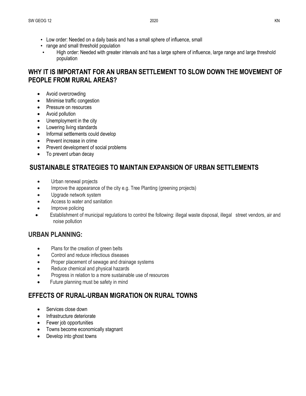- Low order: Needed on a daily basis and has a small sphere of influence, small
- range and small threshold population
- High order: Needed with greater intervals and has a large sphere of influence, large range and large threshold population

### **WHY IT IS IMPORTANT FOR AN URBAN SETTLEMENT TO SLOW DOWN THE MOVEMENT OF PEOPLE FROM RURAL AREAS?**

- Avoid overcrowding
- Minimise traffic congestion
- Pressure on resources
- Avoid pollution
- Unemployment in the city
- Lowering living standards
- Informal settlements could develop
- Prevent increase in crime
- Prevent development of social problems
- To prevent urban decay

### **SUSTAINABLE STRATEGIES TO MAINTAIN EXPANSION OF URBAN SETTLEMENTS**

- Urban renewal projects
- Improve the appearance of the city e.g. Tree Planting (greening projects)
- Upgrade network system
- Access to water and sanitation
- Improve policing
- Establishment of municipal regulations to control the following: illegal waste disposal, illegal street vendors, air and noise pollution

#### **URBAN PLANNING:**

- Plans for the creation of green belts
- Control and reduce infectious diseases
- Proper placement of sewage and drainage systems
- Reduce chemical and physical hazards
- Progress in relation to a more sustainable use of resources
- Future planning must be safety in mind

### **EFFECTS OF RURAL-URBAN MIGRATION ON RURAL TOWNS**

- Services close down
- Infrastructure deteriorate
- Fewer job opportunities
- Towns become economically stagnant
- Develop into ghost towns